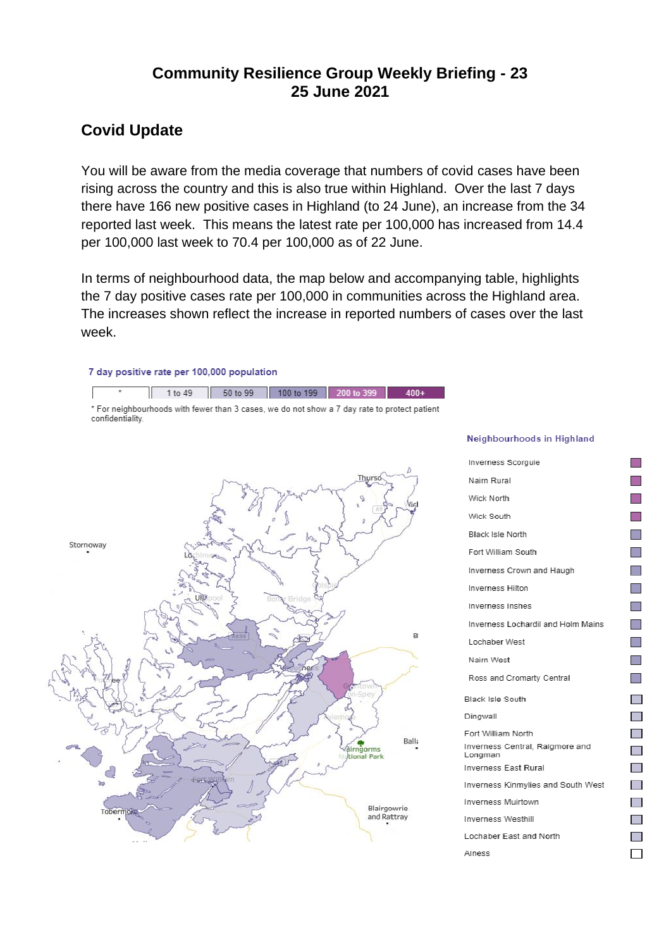# **Community Resilience Group Weekly Briefing - 23 25 June 2021**

#### **Covid Update**

You will be aware from the media coverage that numbers of covid cases have been rising across the country and this is also true within Highland. Over the last 7 days there have 166 new positive cases in Highland (to 24 June), an increase from the 34 reported last week. This means the latest rate per 100,000 has increased from 14.4 per 100,000 last week to 70.4 per 100,000 as of 22 June.

In terms of neighbourhood data, the map below and accompanying table, highlights the 7 day positive cases rate per 100,000 in communities across the Highland area. The increases shown reflect the increase in reported numbers of cases over the last week.

#### 7 day positive rate per 100,000 population

1 to 49 50 to 99 100 to 199 200 to 399  $400+$ \* For neighbourhoods with fewer than 3 cases, we do not show a 7 day rate to protect patient confidentiality.



#### Neighbourhoods in Highland

**I Ta**  $\Box$  $\mathcal{C}^{\mathcal{A}}$ **The State** 

**The State Tall The State Ta The State** 

**The State The State The State** 

 $\blacksquare$ 

 $\sim$ 

 $\blacksquare$ 

 $\mathbb{R}^n$ 

 $\blacksquare$  $\Box$ 

 $\blacksquare$ 

 $\mathcal{L}_{\mathcal{A}}$ 

 $\mathbb{R}^n$  $\Box$ 

| Inverness Scorguie                         |
|--------------------------------------------|
| Nairn Rural                                |
| Wick North                                 |
| Wick South                                 |
| <b>Black Isle North</b>                    |
| Fort William South                         |
| Inverness Crown and Haugh                  |
| <b>Inverness Hilton</b>                    |
| Inverness Inshes                           |
| Inverness Lochardil and Holm Mains         |
| Lochaber West                              |
| Nairn West                                 |
| Ross and Cromarty Central                  |
| <b>Black Isle South</b>                    |
| Dingwall                                   |
| Fort William North                         |
| Inverness Central, Raigmore and<br>Longman |
| Inverness East Rural                       |
| Inverness Kinmylies and South West         |
| <b>Inverness Muirtown</b>                  |
| Inverness Westhill                         |
| Lochaber East and North                    |
| Alness                                     |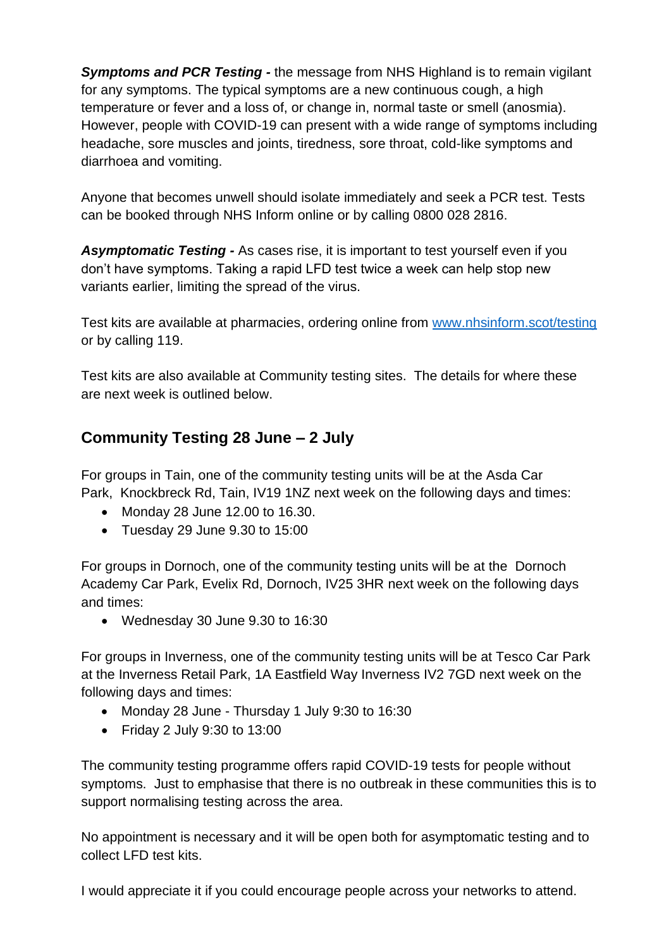*Symptoms and PCR Testing -* the message from NHS Highland is to remain vigilant for any symptoms. The typical symptoms are a new continuous cough, a high temperature or fever and a loss of, or change in, normal taste or smell (anosmia). However, people with COVID-19 can present with a wide range of symptoms including headache, sore muscles and joints, tiredness, sore throat, cold-like symptoms and diarrhoea and vomiting.

Anyone that becomes unwell should isolate immediately and seek a PCR test. Tests can be booked through NHS Inform online or by calling 0800 028 2816.

*Asymptomatic Testing -* As cases rise, it is important to test yourself even if you don't have symptoms. Taking a rapid LFD test twice a week can help stop new variants earlier, limiting the spread of the virus.

Test kits are available at pharmacies, ordering online from [www.nhsinform.scot/testing](http://www.nhsinform.scot/testing) or by calling 119.

Test kits are also available at Community testing sites. The details for where these are next week is outlined below.

# **Community Testing 28 June – 2 July**

For groups in Tain, one of the community testing units will be at the Asda Car Park, Knockbreck Rd, Tain, IV19 1NZ next week on the following days and times:

- Monday 28 June 12.00 to 16.30.
- Tuesday 29 June 9.30 to 15:00

For groups in Dornoch, one of the community testing units will be at the Dornoch Academy Car Park, Evelix Rd, Dornoch, IV25 3HR next week on the following days and times:

• Wednesday 30 June 9.30 to 16:30

For groups in Inverness, one of the community testing units will be at Tesco Car Park at the Inverness Retail Park, 1A Eastfield Way Inverness IV2 7GD next week on the following days and times:

- Monday 28 June Thursday 1 July 9:30 to 16:30
- Friday 2 July 9:30 to 13:00

The community testing programme offers rapid COVID-19 tests for people without symptoms. Just to emphasise that there is no outbreak in these communities this is to support normalising testing across the area.

No appointment is necessary and it will be open both for asymptomatic testing and to collect LFD test kits.

I would appreciate it if you could encourage people across your networks to attend.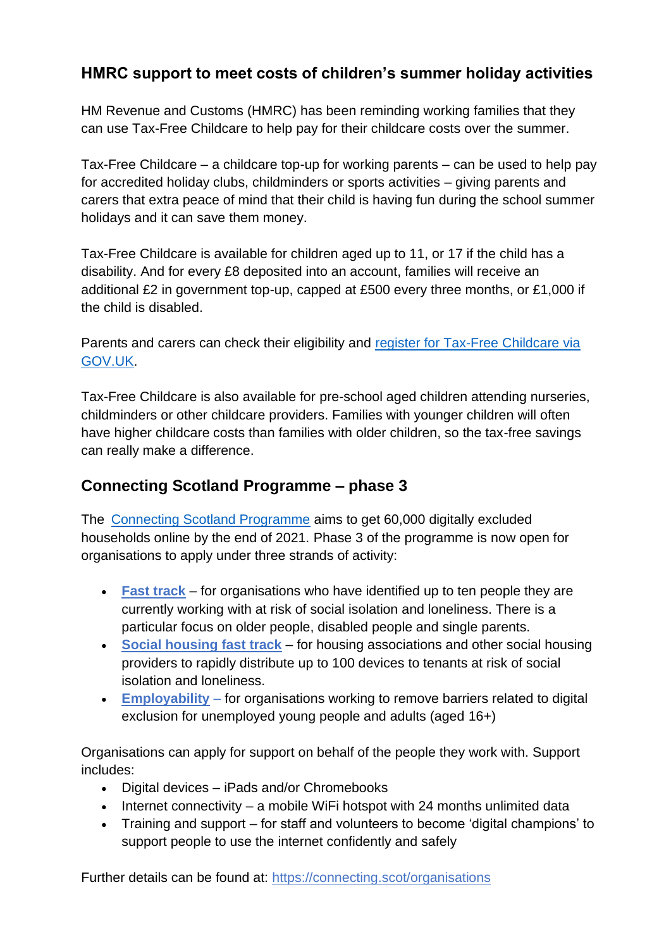# **HMRC support to meet costs of children's summer holiday activities**

HM Revenue and Customs (HMRC) has been reminding working families that they can use Tax-Free Childcare to help pay for their childcare costs over the summer.

Tax-Free Childcare – a childcare top-up for working parents – can be used to help pay for accredited holiday clubs, childminders or sports activities – giving parents and carers that extra peace of mind that their child is having fun during the school summer holidays and it can save them money.

Tax-Free Childcare is available for children aged up to 11, or 17 if the child has a disability. And for every £8 deposited into an account, families will receive an additional £2 in government top-up, capped at £500 every three months, or £1,000 if the child is disabled.

Parents and carers can check their eligibility and [register for Tax-Free Childcare via](https://www.gov.uk/tax-free-childcare)  [GOV.UK.](https://www.gov.uk/tax-free-childcare)

Tax-Free Childcare is also available for pre-school aged children attending nurseries, childminders or other childcare providers. Families with younger children will often have higher childcare costs than families with older children, so the tax-free savings can really make a difference.

#### **[Connecting Scotland](https://eur02.safelinks.protection.outlook.com/?url=https%3A%2F%2Fconnecting.scot%2Forganisations&data=04%7C01%7C%7Ca60cc879317c4816dc7d08d93257ec01%7C89f0b56e6d164fe89dba176fa940f7c9%7C0%7C0%7C637596175458288427%7CUnknown%7CTWFpbGZsb3d8eyJWIjoiMC4wLjAwMDAiLCJQIjoiV2luMzIiLCJBTiI6Ik1haWwiLCJXVCI6Mn0%3D%7C1000&sdata=d37jdU5kzZ4RdOOE9DMd%2FoKrlcQPIupjYWp%2FvSTZfLU%3D&reserved=0) Programme – phase 3**

The [Connecting Scotland Programme](https://eur02.safelinks.protection.outlook.com/?url=https%3A%2F%2Fconnecting.scot%2Fabout&data=04%7C01%7C%7Ca60cc879317c4816dc7d08d93257ec01%7C89f0b56e6d164fe89dba176fa940f7c9%7C0%7C0%7C637596175458298422%7CUnknown%7CTWFpbGZsb3d8eyJWIjoiMC4wLjAwMDAiLCJQIjoiV2luMzIiLCJBTiI6Ik1haWwiLCJXVCI6Mn0%3D%7C1000&sdata=u1GWai63M%2FB%2B0zlTrHe3WGLr3fUjRT3EYpqSQpJpBww%3D&reserved=0) aims to get 60,000 digitally excluded households online by the end of 2021. Phase 3 of the programme is now open for organisations to apply under three strands of activity:

- **Fast [track](https://eur02.safelinks.protection.outlook.com/?url=https%3A%2F%2Fconnecting.scot%2Forganisations%2Ffast-track%2Fguidance&data=04%7C01%7C%7Ca60cc879317c4816dc7d08d93257ec01%7C89f0b56e6d164fe89dba176fa940f7c9%7C0%7C0%7C637596175458348392%7CUnknown%7CTWFpbGZsb3d8eyJWIjoiMC4wLjAwMDAiLCJQIjoiV2luMzIiLCJBTiI6Ik1haWwiLCJXVCI6Mn0%3D%7C1000&sdata=JSuL6d%2Bojnijuv0G2UbzJlF%2FoDI0UacsUCNkWd0Ifqg%3D&reserved=0)** for organisations who have identified up to ten people they are currently working with at risk of social isolation and loneliness. There is a particular focus on older people, disabled people and single parents.
- **[Social housing fast track](https://eur02.safelinks.protection.outlook.com/?url=https%3A%2F%2Fconnecting.scot%2Forganisations%2Ffast-track-housing%2Fguidance&data=04%7C01%7C%7Ca60cc879317c4816dc7d08d93257ec01%7C89f0b56e6d164fe89dba176fa940f7c9%7C0%7C0%7C637596175458348392%7CUnknown%7CTWFpbGZsb3d8eyJWIjoiMC4wLjAwMDAiLCJQIjoiV2luMzIiLCJBTiI6Ik1haWwiLCJXVCI6Mn0%3D%7C1000&sdata=MDrrGvftbr8cmpweIXOaR8efm14qHvzXdRfPARTxBbM%3D&reserved=0)** for housing associations and other social housing providers to rapidly distribute up to 100 devices to tenants at risk of social isolation and loneliness.
- **[Employability](https://eur02.safelinks.protection.outlook.com/?url=https%3A%2F%2Fconnecting.scot%2Forganisations%2Femployability%2Fguidance&data=04%7C01%7C%7Ca60cc879317c4816dc7d08d93257ec01%7C89f0b56e6d164fe89dba176fa940f7c9%7C0%7C0%7C637596175458358389%7CUnknown%7CTWFpbGZsb3d8eyJWIjoiMC4wLjAwMDAiLCJQIjoiV2luMzIiLCJBTiI6Ik1haWwiLCJXVCI6Mn0%3D%7C1000&sdata=8CjK4B01xiklI9iyimiQzs82OcRDYgTxis%2BoFNNjNAg%3D&reserved=0)** for organisations working to remove barriers related to digital exclusion for unemployed young people and adults (aged 16+)

Organisations can apply for support on behalf of the people they work with. Support includes:

- Digital devices iPads and/or Chromebooks
- Internet connectivity a mobile WiFi hotspot with 24 months unlimited data
- Training and support for staff and volunteers to become 'digital champions' to support people to use the internet confidently and safely

Further details can be found at: [https://connecting.scot/organisations](https://eur02.safelinks.protection.outlook.com/?url=https%3A%2F%2Fconnecting.scot%2Forganisations&data=04%7C01%7C%7Ca60cc879317c4816dc7d08d93257ec01%7C89f0b56e6d164fe89dba176fa940f7c9%7C0%7C0%7C637596175458368381%7CUnknown%7CTWFpbGZsb3d8eyJWIjoiMC4wLjAwMDAiLCJQIjoiV2luMzIiLCJBTiI6Ik1haWwiLCJXVCI6Mn0%3D%7C1000&sdata=vlZ3RBFtcOgrM6udG8wnoXj6dVwxEqxBBPQfFgKnO28%3D&reserved=0)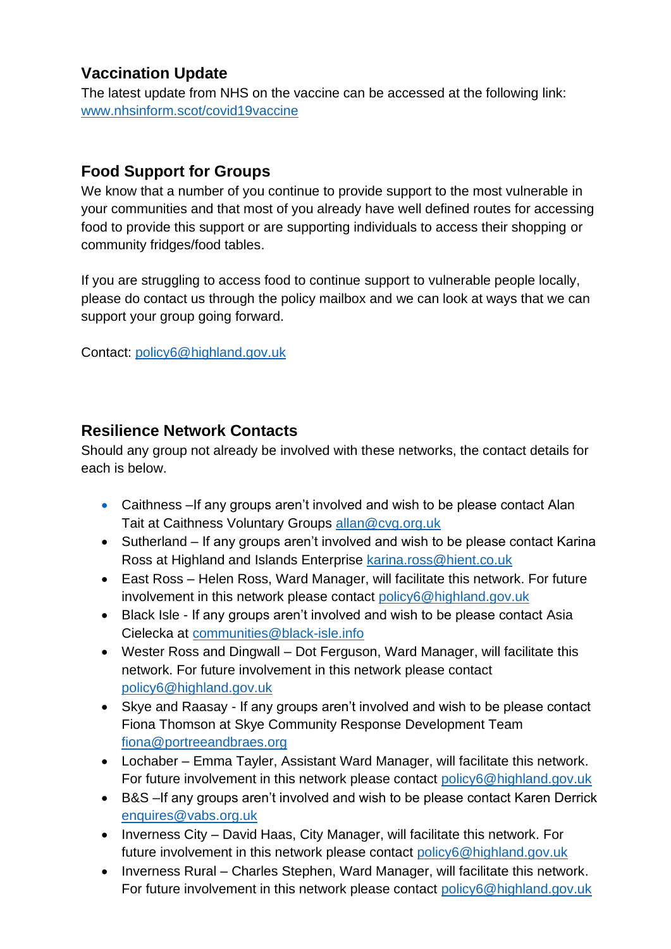# **Vaccination Update**

The latest update from NHS on the vaccine can be accessed at the following link: [www.nhsinform.scot/covid19vaccine](http://www.nhsinform.scot/covid19vaccine)

# **Food Support for Groups**

We know that a number of you continue to provide support to the most vulnerable in your communities and that most of you already have well defined routes for accessing food to provide this support or are supporting individuals to access their shopping or community fridges/food tables.

If you are struggling to access food to continue support to vulnerable people locally, please do contact us through the policy mailbox and we can look at ways that we can support your group going forward.

Contact: [policy6@highland.gov.uk](mailto:policy6@highland.gov.uk)

# **Resilience Network Contacts**

Should any group not already be involved with these networks, the contact details for each is below.

- Caithness If any groups aren't involved and wish to be please contact Alan Tait at Caithness Voluntary Groups [allan@cvg.org.uk](mailto:allan@cvg.org.uk)
- Sutherland If any groups aren't involved and wish to be please contact Karina Ross at Highland and Islands Enterprise [karina.ross@hient.co.uk](mailto:karina.ross@hient.co.uk)
- East Ross Helen Ross, Ward Manager, will facilitate this network. For future involvement in this network please contact [policy6@highland.gov.uk](mailto:policy6@highland.gov.uk)
- Black Isle If any groups aren't involved and wish to be please contact Asia Cielecka at [communities@black-isle.info](mailto:communities@black-isle.info)
- Wester Ross and Dingwall Dot Ferguson, Ward Manager, will facilitate this network. For future involvement in this network please contact [policy6@highland.gov.uk](mailto:policy6@highland.gov.uk)
- Skye and Raasay If any groups aren't involved and wish to be please contact Fiona Thomson at Skye Community Response Development Team [fiona@portreeandbraes.org](mailto:fiona@portreeandbraes.org)
- Lochaber Emma Tayler, Assistant Ward Manager, will facilitate this network. For future involvement in this network please contact [policy6@highland.gov.uk](mailto:policy6@highland.gov.uk)
- B&S –If any groups aren't involved and wish to be please contact Karen Derrick [enquires@vabs.org.uk](mailto:enquires@vabs.org.uk)
- Inverness City David Haas, City Manager, will facilitate this network. For future involvement in this network please contact [policy6@highland.gov.uk](mailto:policy6@highland.gov.uk)
- Inverness Rural Charles Stephen, Ward Manager, will facilitate this network. For future involvement in this network please contact [policy6@highland.gov.uk](mailto:policy6@highland.gov.uk)